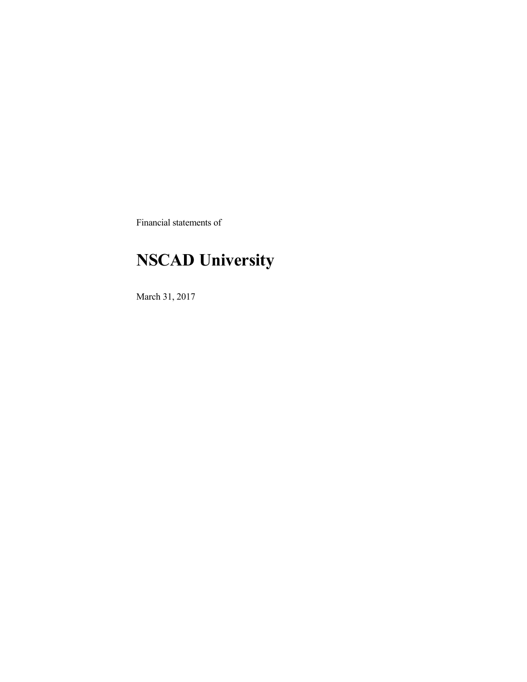Financial statements of

# **NSCAD University**

March 31, 2017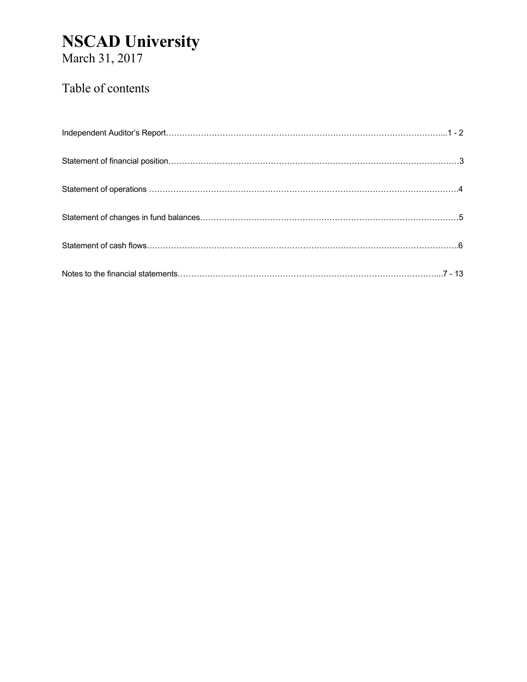March 31, 2017

## Table of contents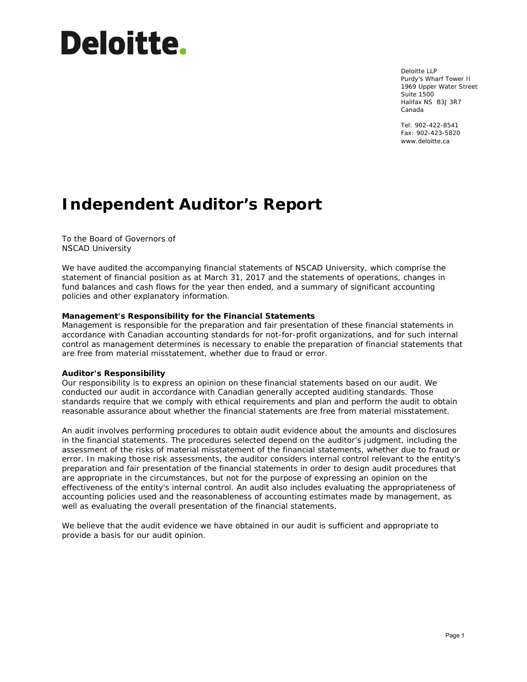# **Deloitte.**

Deloitte LLP Purdy's Wharf Tower II 1969 Upper Water Street Suite 1500 Halifax NS B3J 3R7 Canada

Tel: 902-422-8541 Fax: 902-423-5820 www.deloitte.ca

# **Independent Auditor's Report**

To the Board of Governors of NSCAD University

We have audited the accompanying financial statements of NSCAD University, which comprise the statement of financial position as at March 31, 2017 and the statements of operations, changes in fund balances and cash flows for the year then ended, and a summary of significant accounting policies and other explanatory information.

#### **Management's Responsibility for the Financial Statements**

Management is responsible for the preparation and fair presentation of these financial statements in accordance with Canadian accounting standards for not-for-profit organizations, and for such internal control as management determines is necessary to enable the preparation of financial statements that are free from material misstatement, whether due to fraud or error.

#### **Auditor's Responsibility**

Our responsibility is to express an opinion on these financial statements based on our audit. We conducted our audit in accordance with Canadian generally accepted auditing standards. Those standards require that we comply with ethical requirements and plan and perform the audit to obtain reasonable assurance about whether the financial statements are free from material misstatement.

An audit involves performing procedures to obtain audit evidence about the amounts and disclosures in the financial statements. The procedures selected depend on the auditor's judgment, including the assessment of the risks of material misstatement of the financial statements, whether due to fraud or error. In making those risk assessments, the auditor considers internal control relevant to the entity's preparation and fair presentation of the financial statements in order to design audit procedures that are appropriate in the circumstances, but not for the purpose of expressing an opinion on the effectiveness of the entity's internal control. An audit also includes evaluating the appropriateness of accounting policies used and the reasonableness of accounting estimates made by management, as well as evaluating the overall presentation of the financial statements.

We believe that the audit evidence we have obtained in our audit is sufficient and appropriate to provide a basis for our audit opinion.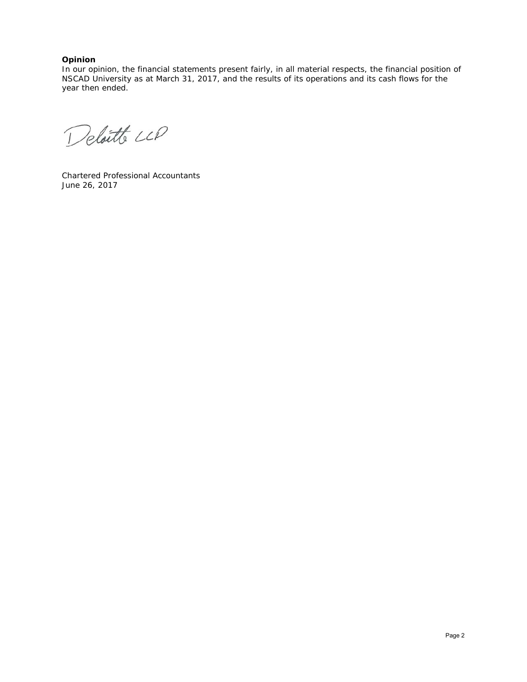#### **Opinion**

In our opinion, the financial statements present fairly, in all material respects, the financial position of NSCAD University as at March 31, 2017, and the results of its operations and its cash flows for the year then ended.

Deloitte LLP

Chartered Professional Accountants June 26, 2017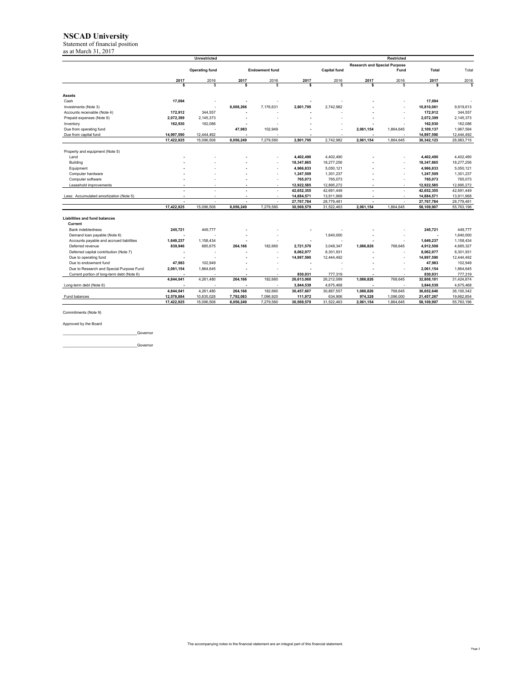Statement of financial position

| as at March 31, 2017                                         |            |                       |           |                       |            |                     |                                     |            |                        |                        |
|--------------------------------------------------------------|------------|-----------------------|-----------|-----------------------|------------|---------------------|-------------------------------------|------------|------------------------|------------------------|
|                                                              |            | <b>Unrestricted</b>   |           |                       |            |                     |                                     | Restricted |                        |                        |
|                                                              |            |                       |           |                       |            |                     | <b>Research and Special Purpose</b> |            |                        |                        |
|                                                              |            | <b>Operating fund</b> |           | <b>Endowment fund</b> |            | <b>Capital fund</b> |                                     | Fund       | Total                  | Total                  |
|                                                              | 2017       | 2016                  | 2017      | 2016                  | 2017       | 2016                | 2017                                | 2016       | 2017                   | 2016                   |
|                                                              | \$         | \$.                   | Ś         | \$                    | s          | Ś                   | s                                   | s          | \$                     | S.                     |
| <b>Assets</b>                                                |            |                       |           |                       |            |                     |                                     |            |                        |                        |
| Cash                                                         | 17.094     |                       |           |                       |            |                     |                                     |            | 17.094                 |                        |
| Investments (Note 3)                                         |            |                       | 8,008,266 | 7,176,631             | 2,801,795  | 2,742,982           |                                     |            | 10,810,061             | 9,919,613              |
| Accounts receivable (Note 4)                                 | 172.912    | 344.557               |           |                       |            |                     |                                     |            | 172.912                | 344.557                |
| Prepaid expenses (Note 9)                                    | 2,072,399  | 2,145,373             |           |                       |            |                     |                                     |            | 2,072,399              | 2,145,373              |
| Inventory                                                    | 162,930    | 162,086               |           |                       |            |                     |                                     |            | 162,930                | 162,086                |
| Due from operating fund                                      |            |                       | 47,983    | 102,949               |            |                     | 2,061,154                           | 1,864,645  | 2,109,137              | 1,967,594              |
| Due from capital fund                                        | 14.997.590 | 12.444.492            |           |                       |            |                     |                                     |            | 14.997.590             | 12,444,492             |
|                                                              | 17,422,925 | 15,096,508            | 8,056,249 | 7,279,580             | 2,801,795  | 2,742,982           | 2,061,154                           | 1,864,645  | 30,342,123             | 26,983,715             |
|                                                              |            |                       |           |                       |            |                     |                                     |            |                        |                        |
| Property and equipment (Note 5)                              |            |                       |           |                       |            |                     |                                     |            |                        |                        |
| Land                                                         |            |                       |           |                       | 4.402.490  | 4.402.490           |                                     |            | 4.402.490              | 4.402.490              |
| Building                                                     |            |                       |           |                       | 18,347,865 | 18,277,256          |                                     |            | 18,347,865             | 18,277,256             |
| Equipment                                                    |            |                       |           | ٠                     | 4,966,833  | 5,050,121           |                                     |            | 4,966,833              | 5,050,121              |
| Computer hardware                                            |            |                       |           | ٠                     | 1,247,509  | 1,301,237           |                                     |            | 1,247,509              | 1,301,237              |
| Computer software                                            |            |                       |           | ٠                     | 765.073    | 765,073             |                                     |            | 765.073                | 765.073                |
| Leasehold improvements                                       | ٠          |                       | ٠         | ٠                     | 12,922,585 | 12.895.272          |                                     |            | 12.922.585             | 12,895,272             |
|                                                              | ٠          |                       |           | ٠                     | 42,652,355 | 42,691,449          | ٠                                   |            | 42,652,355             | 42.691.449             |
| Less: Accumulated amortization (Note 5)                      | ×          |                       |           | $\sim$                | 14,884,571 | 13,911,968          | $\overline{\phantom{a}}$            |            | 14,884,571             | 13,911,968             |
|                                                              | ٠          | ٠                     | ä,        | ٠                     | 27,767,784 | 28,779,481          | ä,                                  | ×          | 27.767.784             | 28,779,481             |
|                                                              | 17,422,925 | 15,096,508            | 8,056,249 | 7,279,580             | 30,569,579 | 31,522,463          | 2,061,154                           | 1,864,645  | 58,109,907             | 55,763,196             |
|                                                              |            |                       |           |                       |            |                     |                                     |            |                        |                        |
| <b>Liabilities and fund balances</b><br>Current              |            |                       |           |                       |            |                     |                                     |            |                        |                        |
|                                                              |            |                       |           |                       |            |                     |                                     |            |                        |                        |
| <b>Bank indebtedness</b>                                     | 245.721    | 449.777               |           |                       |            |                     |                                     |            | 245.721                | 449,777                |
| Demand Ioan payable (Note 6)                                 |            |                       |           |                       |            | 1,640,000           |                                     |            |                        | 1,640,000              |
| Accounts payable and accrued liabilities<br>Deferred revenue | 1,649,237  | 1,158,434             |           |                       |            | 3.048.347           | 1.086.826                           | 768.645    | 1,649,237<br>4.912.508 | 1,158,434<br>4.685.327 |
|                                                              | 839,946    | 685,675               | 264,166   | 182,660               | 2,721,570  |                     |                                     |            |                        |                        |
| Deferred capital contribution (Note 7)                       |            |                       |           |                       | 8,062,977  | 8,301,931           |                                     |            | 8,062,977              | 8,301,931              |
| Due to operating fund                                        |            |                       |           | ٠                     | 14,997,590 | 12,444,492          |                                     |            | 14,997,590             | 12,444,492             |
| Due to endowment fund                                        | 47,983     | 102,949               |           |                       | ä,         |                     |                                     |            | 47,983                 | 102,949                |
| Due to Research and Special Purpose Fund                     | 2,061,154  | 1,864,645             |           |                       |            |                     |                                     |            | 2,061,154              | 1,864,645              |
| Current portion of long-term debt (Note 6)                   |            |                       |           |                       | 830,931    | 777,319             |                                     |            | 830,931                | 777,319                |
|                                                              | 4,844,041  | 4,261,480             | 264,166   | 182,660               | 26,613,068 | 26,212,089          | 1,086,826                           | 768,645    | 32,808,101             | 31,424,874             |
| Long-term debt (Note 6)                                      |            |                       | ٠         | ٠                     | 3,844,539  | 4,675,468           |                                     |            | 3,844,539              | 4,675,468              |
|                                                              | 4,844,041  | 4,261,480             | 264,166   | 182,660               | 30,457,607 | 30,887,557          | 1,086,826                           | 768,645    | 36,652,640             | 36,100,342             |
| Fund balances                                                | 12,578,884 | 10,835,028            | 7,792,083 | 7,096,920             | 111,972    | 634,906             | 974,328                             | 1,096,000  | 21,457,267             | 19,662,854             |
|                                                              | 17,422,925 | 15,096,508            | 8,056,249 | 7,279,580             | 30,569,579 | 31,522,463          | 2,061,154                           | 1,864,645  | 58,109,907             | 55,763,196             |

Commitments (Note 9)

#### Approved by the Board

\_\_\_\_\_\_\_\_\_\_\_\_\_\_\_\_\_\_\_\_\_\_\_\_\_\_\_\_\_\_\_\_\_\_\_Governor

\_\_\_\_\_\_\_\_\_\_\_\_\_\_\_\_\_\_\_\_\_\_\_\_\_\_\_\_\_\_\_\_\_\_\_Governor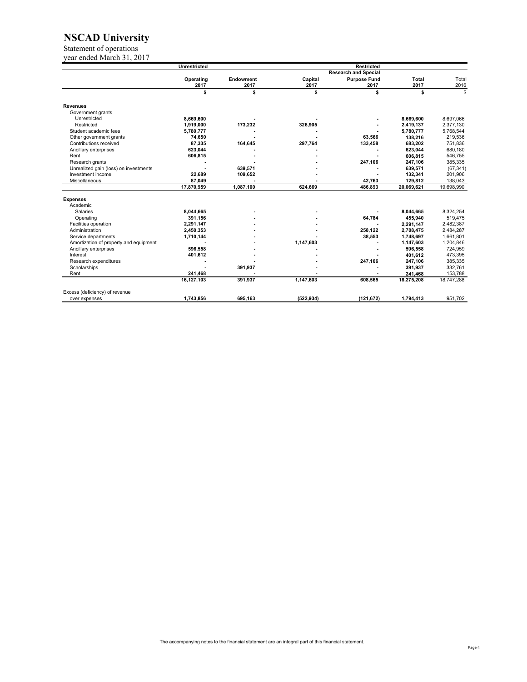Statement of operations

year ended March 31, 2017

|                                        | <b>Unrestricted</b> |           |            | <b>Restricted</b>           |              |            |
|----------------------------------------|---------------------|-----------|------------|-----------------------------|--------------|------------|
|                                        |                     |           |            | <b>Research and Special</b> |              |            |
|                                        | Operating           | Endowment | Capital    | <b>Purpose Fund</b>         | <b>Total</b> | Total      |
|                                        | 2017                | 2017      | 2017       | 2017                        | 2017         | 2016       |
|                                        | \$                  | \$        | \$         | \$                          | \$           | \$         |
| <b>Revenues</b>                        |                     |           |            |                             |              |            |
| Government grants                      |                     |           |            |                             |              |            |
| Unrestricted                           | 8,669,600           |           |            |                             | 8,669,600    | 8.697.066  |
| Restricted                             | 1,919,000           | 173,232   | 326,905    |                             | 2,419,137    | 2,377,130  |
| Student academic fees                  | 5,780,777           |           |            |                             | 5,780,777    | 5,768,544  |
| Other government grants                | 74,650              |           |            | 63,566                      | 138,216      | 219,536    |
| Contributions received                 | 87,335              | 164,645   | 297,764    | 133,458                     | 683,202      | 751,836    |
| Ancillary enterprises                  | 623,044             |           |            |                             | 623,044      | 680,180    |
| Rent                                   | 606,815             |           |            |                             | 606,815      | 546,755    |
| Research grants                        |                     |           |            | 247,106                     | 247,106      | 385,335    |
| Unrealized gain (loss) on investments  |                     | 639,571   |            |                             | 639,571      | (67, 341)  |
| Investment income                      | 22,689              | 109,652   |            |                             | 132,341      | 201,906    |
| Miscellaneous                          | 87,049              |           |            | 42,763                      | 129,812      | 138,043    |
|                                        | 17,870,959          | 1,087,100 | 624.669    | 486,893                     | 20,069,621   | 19,698,990 |
| <b>Expenses</b>                        |                     |           |            |                             |              |            |
| Academic                               |                     |           |            |                             |              |            |
| Salaries                               | 8,044,665           |           |            |                             | 8,044,665    | 8,324,254  |
| Operating                              | 391,156             |           |            | 64,784                      | 455,940      | 519,475    |
| Facilities operation                   | 2.291.147           |           |            |                             | 2,291,147    | 2,482,387  |
| Administration                         | 2,450,353           |           |            | 258,122                     | 2,708,475    | 2,484,287  |
| Service departments                    | 1,710,144           |           |            | 38,553                      | 1,748,697    | 1,661,801  |
| Amortization of property and equipment |                     |           | 1,147,603  |                             | 1,147,603    | 1,204,846  |
| Ancillary enterprises                  | 596,558             |           |            |                             | 596.558      | 724,959    |
| Interest                               | 401,612             |           |            |                             | 401,612      | 473,395    |
| Research expenditures                  |                     |           |            | 247,106                     | 247,106      | 385,335    |
| Scholarships                           |                     | 391,937   |            |                             | 391,937      | 332,761    |
| Rent                                   | 241,468             |           |            |                             | 241,468      | 153,788    |
|                                        | 16,127,103          | 391,937   | 1,147,603  | 608,565                     | 18,275,208   | 18,747,288 |
| Excess (deficiency) of revenue         |                     |           |            |                             |              |            |
| over expenses                          | 1,743,856           | 695,163   | (522, 934) | (121, 672)                  | 1,794,413    | 951,702    |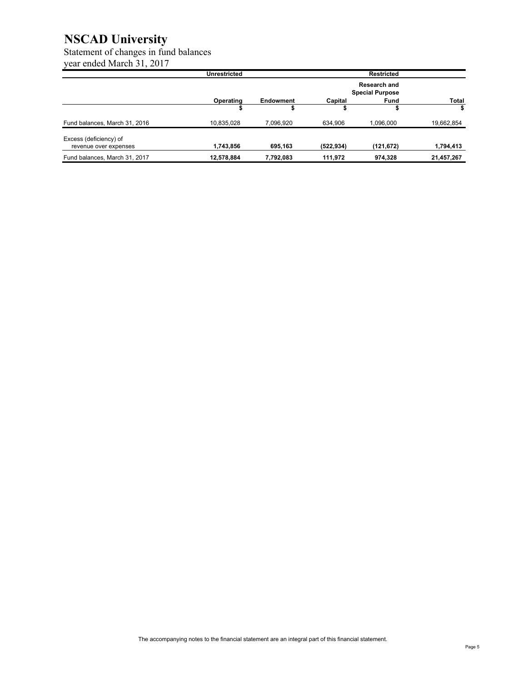#### Statement of changes in fund balances year ended March 31, 2017

|                                                 | <b>Unrestricted</b> |           |            | <b>Restricted</b>                      |            |
|-------------------------------------------------|---------------------|-----------|------------|----------------------------------------|------------|
|                                                 |                     |           |            | Research and<br><b>Special Purpose</b> |            |
|                                                 | Operating           | Endowment | Capital    | <b>Fund</b>                            | Total      |
|                                                 |                     |           |            |                                        | \$         |
| Fund balances, March 31, 2016                   | 10,835,028          | 7,096,920 | 634,906    | 1,096,000                              | 19,662,854 |
| Excess (deficiency) of<br>revenue over expenses | 1,743,856           | 695,163   | (522, 934) | (121,672)                              | 1,794,413  |
| Fund balances, March 31, 2017                   | 12,578,884          | 7.792.083 | 111.972    | 974,328                                | 21,457,267 |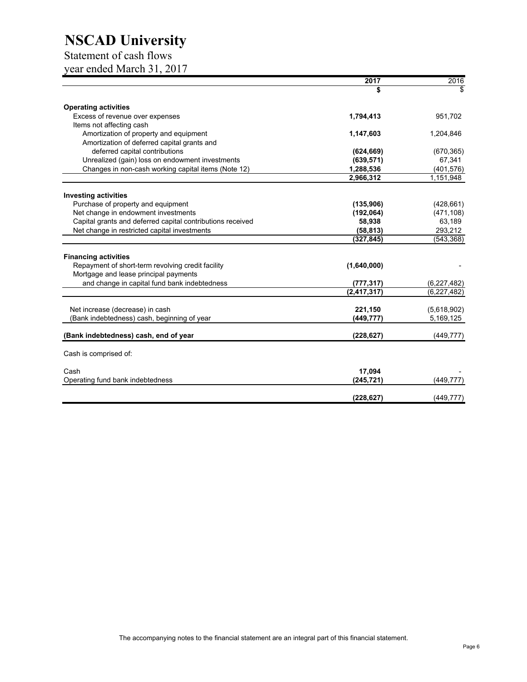### Statement of cash flows

year ended March 31, 2017

|                                                            | 2017          | 2016          |
|------------------------------------------------------------|---------------|---------------|
|                                                            | S             |               |
| <b>Operating activities</b>                                |               |               |
| Excess of revenue over expenses                            | 1,794,413     | 951,702       |
| Items not affecting cash                                   |               |               |
| Amortization of property and equipment                     | 1,147,603     | 1,204,846     |
| Amortization of deferred capital grants and                |               |               |
| deferred capital contributions                             | (624, 669)    | (670, 365)    |
| Unrealized (gain) loss on endowment investments            | (639, 571)    | 67,341        |
| Changes in non-cash working capital items (Note 12)        | 1,288,536     | (401, 576)    |
|                                                            | 2,966,312     | 1,151,948     |
| <b>Investing activities</b>                                |               |               |
| Purchase of property and equipment                         | (135, 906)    | (428, 661)    |
| Net change in endowment investments                        | (192,064)     | (471, 108)    |
| Capital grants and deferred capital contributions received | 58,938        | 63,189        |
| Net change in restricted capital investments               | (58, 813)     | 293,212       |
|                                                            | (327, 845)    | (543, 368)    |
|                                                            |               |               |
| <b>Financing activities</b>                                |               |               |
| Repayment of short-term revolving credit facility          | (1,640,000)   |               |
| Mortgage and lease principal payments                      |               |               |
| and change in capital fund bank indebtedness               | (777, 317)    | (6,227,482)   |
|                                                            | (2, 417, 317) | (6, 227, 482) |
| Net increase (decrease) in cash                            | 221,150       | (5,618,902)   |
| (Bank indebtedness) cash, beginning of year                | (449, 777)    | 5,169,125     |
| (Bank indebtedness) cash, end of year                      | (228, 627)    | (449, 777)    |
|                                                            |               |               |
| Cash is comprised of:                                      |               |               |
| Cash                                                       | 17,094        |               |
| Operating fund bank indebtedness                           | (245, 721)    | (449, 777)    |
|                                                            | (228, 627)    | (449, 777)    |
|                                                            |               |               |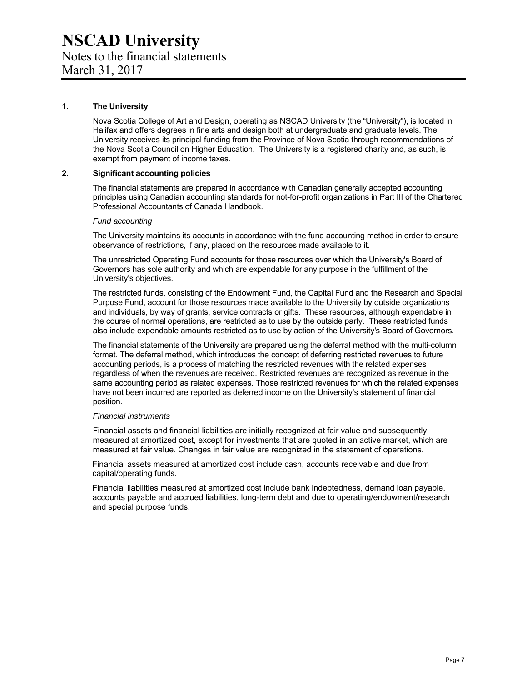#### **1. The University**

Nova Scotia College of Art and Design, operating as NSCAD University (the "University"), is located in Halifax and offers degrees in fine arts and design both at undergraduate and graduate levels. The University receives its principal funding from the Province of Nova Scotia through recommendations of the Nova Scotia Council on Higher Education. The University is a registered charity and, as such, is exempt from payment of income taxes.

#### **2. Significant accounting policies**

The financial statements are prepared in accordance with Canadian generally accepted accounting principles using Canadian accounting standards for not-for-profit organizations in Part III of the Chartered Professional Accountants of Canada Handbook.

#### *Fund accounting*

The University maintains its accounts in accordance with the fund accounting method in order to ensure observance of restrictions, if any, placed on the resources made available to it.

The unrestricted Operating Fund accounts for those resources over which the University's Board of Governors has sole authority and which are expendable for any purpose in the fulfillment of the University's objectives.

The restricted funds, consisting of the Endowment Fund, the Capital Fund and the Research and Special Purpose Fund, account for those resources made available to the University by outside organizations and individuals, by way of grants, service contracts or gifts. These resources, although expendable in the course of normal operations, are restricted as to use by the outside party. These restricted funds also include expendable amounts restricted as to use by action of the University's Board of Governors.

The financial statements of the University are prepared using the deferral method with the multi-column format. The deferral method, which introduces the concept of deferring restricted revenues to future accounting periods, is a process of matching the restricted revenues with the related expenses regardless of when the revenues are received. Restricted revenues are recognized as revenue in the same accounting period as related expenses. Those restricted revenues for which the related expenses have not been incurred are reported as deferred income on the University's statement of financial position.

#### *Financial instruments*

Financial assets and financial liabilities are initially recognized at fair value and subsequently measured at amortized cost, except for investments that are quoted in an active market, which are measured at fair value. Changes in fair value are recognized in the statement of operations.

Financial assets measured at amortized cost include cash, accounts receivable and due from capital/operating funds.

Financial liabilities measured at amortized cost include bank indebtedness, demand loan payable, accounts payable and accrued liabilities, long-term debt and due to operating/endowment/research and special purpose funds.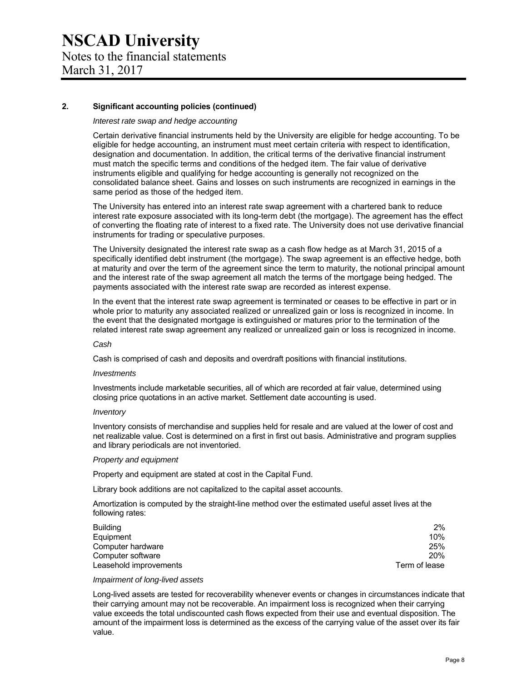#### **2. Significant accounting policies (continued)**

#### *Interest rate swap and hedge accounting*

Certain derivative financial instruments held by the University are eligible for hedge accounting. To be eligible for hedge accounting, an instrument must meet certain criteria with respect to identification, designation and documentation. In addition, the critical terms of the derivative financial instrument must match the specific terms and conditions of the hedged item. The fair value of derivative instruments eligible and qualifying for hedge accounting is generally not recognized on the consolidated balance sheet. Gains and losses on such instruments are recognized in earnings in the same period as those of the hedged item.

The University has entered into an interest rate swap agreement with a chartered bank to reduce interest rate exposure associated with its long-term debt (the mortgage). The agreement has the effect of converting the floating rate of interest to a fixed rate. The University does not use derivative financial instruments for trading or speculative purposes.

The University designated the interest rate swap as a cash flow hedge as at March 31, 2015 of a specifically identified debt instrument (the mortgage). The swap agreement is an effective hedge, both at maturity and over the term of the agreement since the term to maturity, the notional principal amount and the interest rate of the swap agreement all match the terms of the mortgage being hedged. The payments associated with the interest rate swap are recorded as interest expense.

In the event that the interest rate swap agreement is terminated or ceases to be effective in part or in whole prior to maturity any associated realized or unrealized gain or loss is recognized in income. In the event that the designated mortgage is extinguished or matures prior to the termination of the related interest rate swap agreement any realized or unrealized gain or loss is recognized in income.

#### *Cash*

Cash is comprised of cash and deposits and overdraft positions with financial institutions.

#### *Investments*

Investments include marketable securities, all of which are recorded at fair value, determined using closing price quotations in an active market. Settlement date accounting is used.

#### *Inventory*

Inventory consists of merchandise and supplies held for resale and are valued at the lower of cost and net realizable value. Cost is determined on a first in first out basis. Administrative and program supplies and library periodicals are not inventoried.

#### *Property and equipment*

Property and equipment are stated at cost in the Capital Fund.

Library book additions are not capitalized to the capital asset accounts.

Amortization is computed by the straight-line method over the estimated useful asset lives at the following rates:

| <b>Building</b>        | $2\%$         |
|------------------------|---------------|
| Equipment              | 10%           |
| Computer hardware      | 25%           |
| Computer software      | 20%           |
| Leasehold improvements | Term of lease |

#### *Impairment of long-lived assets*

Long-lived assets are tested for recoverability whenever events or changes in circumstances indicate that their carrying amount may not be recoverable. An impairment loss is recognized when their carrying value exceeds the total undiscounted cash flows expected from their use and eventual disposition. The amount of the impairment loss is determined as the excess of the carrying value of the asset over its fair value.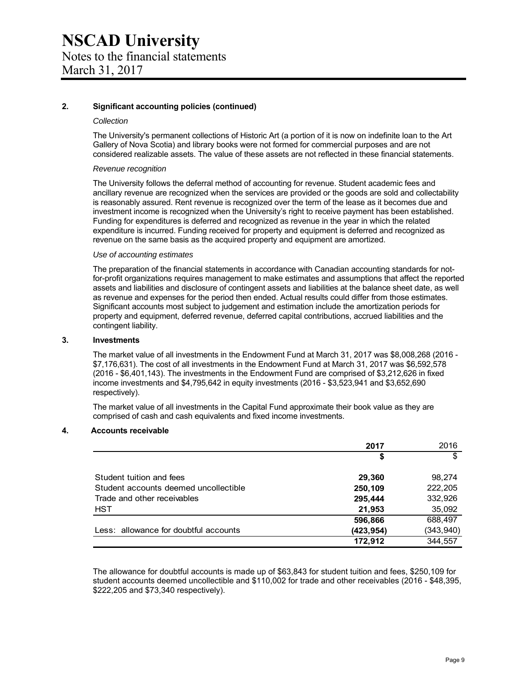#### **2. Significant accounting policies (continued)**

#### *Collection*

The University's permanent collections of Historic Art (a portion of it is now on indefinite loan to the Art Gallery of Nova Scotia) and library books were not formed for commercial purposes and are not considered realizable assets. The value of these assets are not reflected in these financial statements.

#### *Revenue recognition*

The University follows the deferral method of accounting for revenue. Student academic fees and ancillary revenue are recognized when the services are provided or the goods are sold and collectability is reasonably assured. Rent revenue is recognized over the term of the lease as it becomes due and investment income is recognized when the University's right to receive payment has been established. Funding for expenditures is deferred and recognized as revenue in the year in which the related expenditure is incurred. Funding received for property and equipment is deferred and recognized as revenue on the same basis as the acquired property and equipment are amortized.

#### *Use of accounting estimates*

The preparation of the financial statements in accordance with Canadian accounting standards for notfor-profit organizations requires management to make estimates and assumptions that affect the reported assets and liabilities and disclosure of contingent assets and liabilities at the balance sheet date, as well as revenue and expenses for the period then ended. Actual results could differ from those estimates. Significant accounts most subject to judgement and estimation include the amortization periods for property and equipment, deferred revenue, deferred capital contributions, accrued liabilities and the contingent liability.

#### **3. Investments**

The market value of all investments in the Endowment Fund at March 31, 2017 was \$8,008,268 (2016 - \$7,176,631). The cost of all investments in the Endowment Fund at March 31, 2017 was \$6,592,578 (2016 - \$6,401,143). The investments in the Endowment Fund are comprised of \$3,212,626 in fixed income investments and \$4,795,642 in equity investments (2016 - \$3,523,941 and \$3,652,690 respectively).

The market value of all investments in the Capital Fund approximate their book value as they are comprised of cash and cash equivalents and fixed income investments.

#### **4. Accounts receivable**

|                                       | 2017       | 2016       |
|---------------------------------------|------------|------------|
|                                       | \$         | \$         |
| Student tuition and fees              | 29,360     | 98.274     |
| Student accounts deemed uncollectible | 250,109    | 222,205    |
| Trade and other receivables           | 295,444    | 332,926    |
| <b>HST</b>                            | 21,953     | 35,092     |
|                                       | 596,866    | 688,497    |
| Less: allowance for doubtful accounts | (423, 954) | (343, 940) |
|                                       | 172.912    | 344.557    |

The allowance for doubtful accounts is made up of \$63,843 for student tuition and fees, \$250,109 for student accounts deemed uncollectible and \$110,002 for trade and other receivables (2016 - \$48,395, \$222,205 and \$73,340 respectively).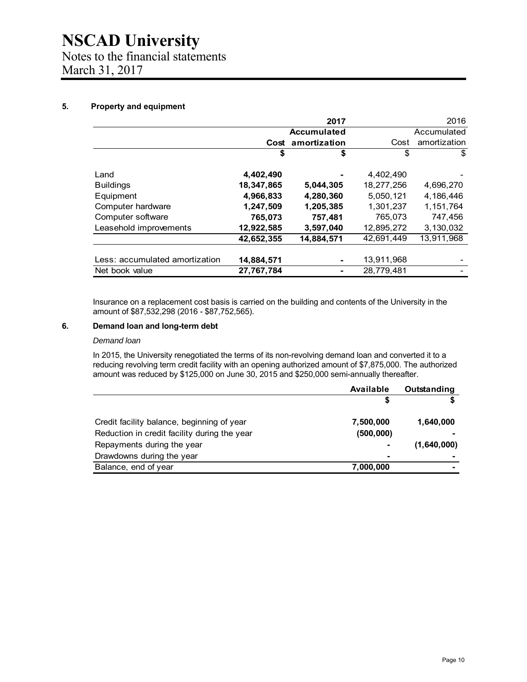## **NSCAD University**  Notes to the financial statements March 31, 2017

#### **5. Property and equipment**

|                                |            | 2017               |            | 2016         |
|--------------------------------|------------|--------------------|------------|--------------|
|                                |            | <b>Accumulated</b> |            | Accumulated  |
|                                |            | Cost amortization  | Cost       | amortization |
|                                | \$         | \$                 | \$         | \$           |
| Land                           | 4,402,490  |                    | 4,402,490  |              |
| <b>Buildings</b>               | 18,347,865 | 5,044,305          | 18,277,256 | 4,696,270    |
| Equipment                      | 4,966,833  | 4,280,360          | 5,050,121  | 4,186,446    |
| Computer hardware              | 1,247,509  | 1,205,385          | 1,301,237  | 1,151,764    |
| Computer software              | 765,073    | 757,481            | 765,073    | 747,456      |
| Leasehold improvements         | 12,922,585 | 3,597,040          | 12,895,272 | 3,130,032    |
|                                | 42,652,355 | 14,884,571         | 42,691,449 | 13,911,968   |
|                                |            |                    |            |              |
| Less: accumulated amortization | 14,884,571 |                    | 13,911,968 |              |
| Net book value                 | 27,767,784 |                    | 28,779,481 |              |

Insurance on a replacement cost basis is carried on the building and contents of the University in the amount of \$87,532,298 (2016 - \$87,752,565).

#### **6. Demand loan and long-term debt**

#### *Demand loan*

In 2015, the University renegotiated the terms of its non-revolving demand loan and converted it to a reducing revolving term credit facility with an opening authorized amount of \$7,875,000. The authorized amount was reduced by \$125,000 on June 30, 2015 and \$250,000 semi-annually thereafter.

|                                              | Available      | Outstanding |
|----------------------------------------------|----------------|-------------|
|                                              | S              |             |
| Credit facility balance, beginning of year   | 7,500,000      | 1,640,000   |
| Reduction in credit facility during the year | (500, 000)     |             |
| Repayments during the year                   | $\blacksquare$ | (1,640,000) |
| Drawdowns during the year                    | ۰              |             |
| Balance, end of year                         | 7,000,000      |             |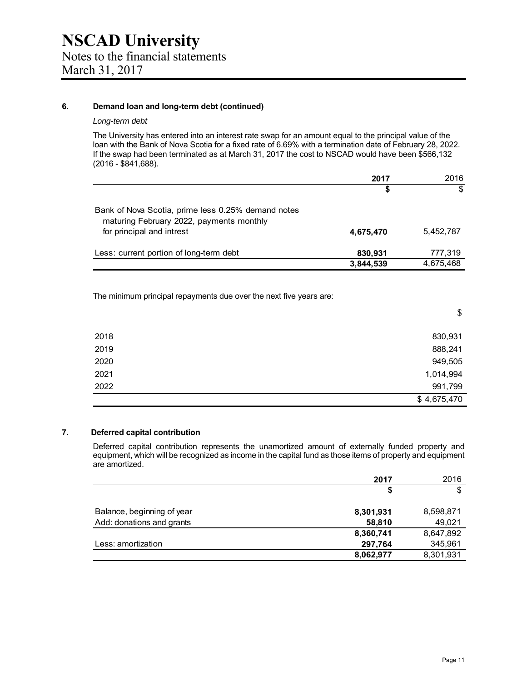#### **6. Demand loan and long-term debt (continued)**

#### *Long-term debt*

The University has entered into an interest rate swap for an amount equal to the principal value of the loan with the Bank of Nova Scotia for a fixed rate of 6.69% with a termination date of February 28, 2022. If the swap had been terminated as at March 31, 2017 the cost to NSCAD would have been \$566,132 (2016 - \$841,688).

|                                                                                                                             | 2017      | 2016      |
|-----------------------------------------------------------------------------------------------------------------------------|-----------|-----------|
|                                                                                                                             | S         | \$        |
| Bank of Nova Scotia, prime less 0.25% demand notes<br>maturing February 2022, payments monthly<br>for principal and intrest | 4,675,470 | 5,452,787 |
| Less: current portion of long-term debt                                                                                     | 830,931   | 777,319   |
|                                                                                                                             | 3,844,539 | 4,675,468 |

The minimum principal repayments due over the next five years are:

|      | \$          |
|------|-------------|
| 2018 | 830,931     |
| 2019 | 888,241     |
| 2020 | 949,505     |
| 2021 | 1,014,994   |
| 2022 | 991,799     |
|      | \$4,675,470 |

#### **7. Deferred capital contribution**

Deferred capital contribution represents the unamortized amount of externally funded property and equipment, which will be recognized as income in the capital fund as those items of property and equipment are amortized.

|                            | 2017      | 2016      |
|----------------------------|-----------|-----------|
|                            | \$        | \$        |
| Balance, beginning of year | 8,301,931 | 8,598,871 |
| Add: donations and grants  | 58,810    | 49,021    |
|                            | 8,360,741 | 8,647,892 |
| Less: amortization         | 297,764   | 345,961   |
|                            | 8,062,977 | 8,301,931 |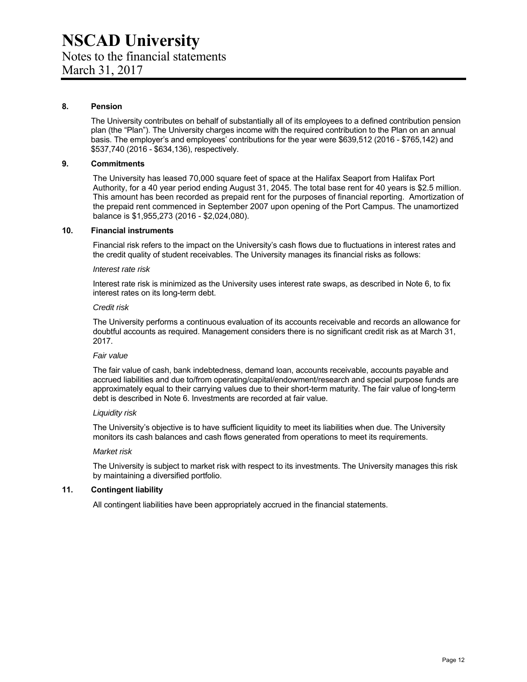#### **8. Pension**

 The University contributes on behalf of substantially all of its employees to a defined contribution pension plan (the "Plan"). The University charges income with the required contribution to the Plan on an annual basis. The employer's and employees' contributions for the year were \$639,512 (2016 - \$765,142) and \$537,740 (2016 - \$634,136), respectively.

#### **9. Commitments**

The University has leased 70,000 square feet of space at the Halifax Seaport from Halifax Port Authority, for a 40 year period ending August 31, 2045. The total base rent for 40 years is \$2.5 million. This amount has been recorded as prepaid rent for the purposes of financial reporting. Amortization of the prepaid rent commenced in September 2007 upon opening of the Port Campus. The unamortized balance is \$1,955,273 (2016 - \$2,024,080).

#### **10. Financial instruments**

Financial risk refers to the impact on the University's cash flows due to fluctuations in interest rates and the credit quality of student receivables. The University manages its financial risks as follows:

#### *Interest rate risk*

Interest rate risk is minimized as the University uses interest rate swaps, as described in Note 6, to fix interest rates on its long-term debt.

#### *Credit risk*

The University performs a continuous evaluation of its accounts receivable and records an allowance for doubtful accounts as required. Management considers there is no significant credit risk as at March 31, 2017.

#### *Fair value*

The fair value of cash, bank indebtedness, demand loan, accounts receivable, accounts payable and accrued liabilities and due to/from operating/capital/endowment/research and special purpose funds are approximately equal to their carrying values due to their short-term maturity. The fair value of long-term debt is described in Note 6. Investments are recorded at fair value.

#### *Liquidity risk*

The University's objective is to have sufficient liquidity to meet its liabilities when due. The University monitors its cash balances and cash flows generated from operations to meet its requirements.

#### *Market risk*

The University is subject to market risk with respect to its investments. The University manages this risk by maintaining a diversified portfolio.

#### **11. Contingent liability**

All contingent liabilities have been appropriately accrued in the financial statements.